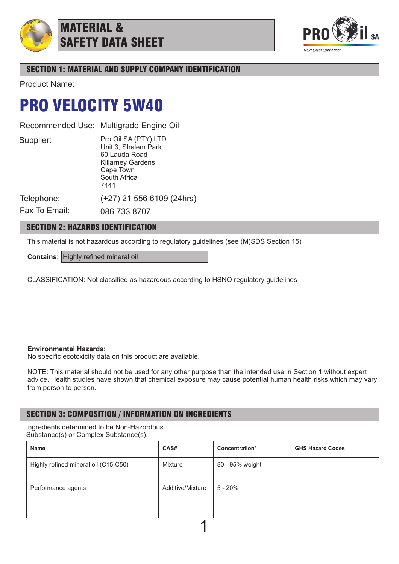

MATERIAL & SAFETY DATA SHEET



# SECTION 1: MATERIAL AND SUPPLY COMPANY IDENTIFICATION

Product Name:

# PRO VELOCITY 5W40

Recommended Use: Multigrade Engine Oil

Supplier:

Pro Oil SA (PTY) LTD Unit 3, Shalem Park 60 Lauda Road Killarney Gardens Cape Town South Africa 7441

(+27) 21 556 6109 (24hrs)

Telephone:

Fax To Email: 086 733 8707

# SECTION 2: HAZARDS IDENTIFICATION

This material is not hazardous according to regulatory guidelines (see (M)SDS Section 15)

**Contains:** Highly refined mineral oil

CLASSIFICATION: Not classified as hazardous according to HSNO regulatory guidelines

## **Environmental Hazards:**

No specific ecotoxicity data on this product are available.

NOTE: This material should not be used for any other purpose than the intended use in Section 1 without expert advice. Health studies have shown that chemical exposure may cause potential human health risks which may vary from person to person.

# SECTION 3: COMPOSITION / INFORMATION ON INGREDIENTS

Ingredients determined to be Non-Hazordous. Substance(s) or Complex Substance(s).

| Name                                 | CAS#             | Concentration*  | <b>GHS Hazard Codes</b> |  |  |
|--------------------------------------|------------------|-----------------|-------------------------|--|--|
| Highly refined mineral oil (C15-C50) | Mixture          | 80 - 95% weight |                         |  |  |
| Performance agents                   | Additive/Mixture | 5 - 20%         |                         |  |  |
|                                      |                  |                 |                         |  |  |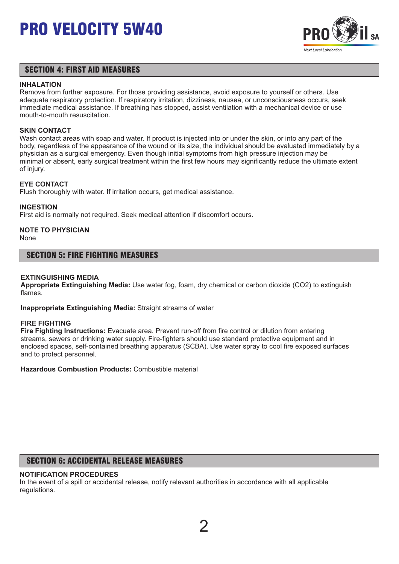

## SECTION 4: FIRST AID MEASURES

### **INHALATION**

Remove from further exposure. For those providing assistance, avoid exposure to yourself or others. Use adequate respiratory protection. If respiratory irritation, dizziness, nausea, or unconsciousness occurs, seek immediate medical assistance. If breathing has stopped, assist ventilation with a mechanical device or use mouth-to-mouth resuscitation.

### **SKIN CONTACT**

Wash contact areas with soap and water. If product is injected into or under the skin, or into any part of the body, regardless of the appearance of the wound or its size, the individual should be evaluated immediately by a physician as a surgical emergency. Even though initial symptoms from high pressure injection may be minimal or absent, early surgical treatment within the first few hours may significantly reduce the ultimate extent of injury.

### **EYE CONTACT**

Flush thoroughly with water. If irritation occurs, get medical assistance.

### **INGESTION**

First aid is normally not required. Seek medical attention if discomfort occurs.

# **NOTE TO PHYSICIAN**

None

## SECTION 5: FIRE FIGHTING MEASURES

### **EXTINGUISHING MEDIA**

**Appropriate Extinguishing Media:** Use water fog, foam, dry chemical or carbon dioxide (CO2) to extinguish flames.

**Inappropriate Extinguishing Media:** Straight streams of water

#### **FIRE FIGHTING**

**Fire Fighting Instructions:** Evacuate area. Prevent run-off from fire control or dilution from entering streams, sewers or drinking water supply. Fire-fighters should use standard protective equipment and in enclosed spaces, self-contained breathing apparatus (SCBA). Use water spray to cool fire exposed surfaces and to protect personnel.

**Hazardous Combustion Products:** Combustible material

## SECTION 6: ACCIDENTAL RELEASE MEASURES

## **NOTIFICATION PROCEDURES**

In the event of a spill or accidental release, notify relevant authorities in accordance with all applicable regulations.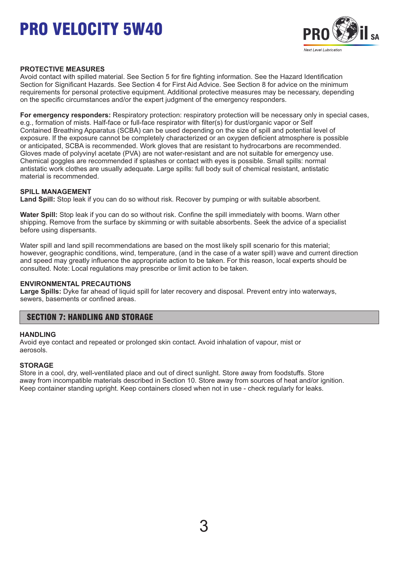

### **PROTECTIVE MEASURES**

Avoid contact with spilled material. See Section 5 for fire fighting information. See the Hazard Identification Section for Significant Hazards. See Section 4 for First Aid Advice. See Section 8 for advice on the minimum requirements for personal protective equipment. Additional protective measures may be necessary, depending on the specific circumstances and/or the expert judgment of the emergency responders.

**For emergency responders:** Respiratory protection: respiratory protection will be necessary only in special cases, e.g., formation of mists. Half-face or full-face respirator with filter(s) for dust/organic vapor or Self Contained Breathing Apparatus (SCBA) can be used depending on the size of spill and potential level of exposure. If the exposure cannot be completely characterized or an oxygen deficient atmosphere is possible or anticipated, SCBA is recommended. Work gloves that are resistant to hydrocarbons are recommended. Gloves made of polyvinyl acetate (PVA) are not water-resistant and are not suitable for emergency use. Chemical goggles are recommended if splashes or contact with eyes is possible. Small spills: normal antistatic work clothes are usually adequate. Large spills: full body suit of chemical resistant, antistatic material is recommended.

### **SPILL MANAGEMENT**

**Land Spill:** Stop leak if you can do so without risk. Recover by pumping or with suitable absorbent.

**Water Spill:** Stop leak if you can do so without risk. Confine the spill immediately with booms. Warn other shipping. Remove from the surface by skimming or with suitable absorbents. Seek the advice of a specialist before using dispersants.

Water spill and land spill recommendations are based on the most likely spill scenario for this material; however, geographic conditions, wind, temperature, (and in the case of a water spill) wave and current direction and speed may greatly influence the appropriate action to be taken. For this reason, local experts should be consulted. Note: Local regulations may prescribe or limit action to be taken.

#### **ENVIRONMENTAL PRECAUTIONS**

**Large Spills:** Dyke far ahead of liquid spill for later recovery and disposal. Prevent entry into waterways, sewers, basements or confined areas.

## SECTION 7: HANDLING AND STORAGE

#### **HANDLING**

Avoid eye contact and repeated or prolonged skin contact. Avoid inhalation of vapour, mist or aerosols.

### **STORAGE**

Store in a cool, dry, well-ventilated place and out of direct sunlight. Store away from foodstuffs. Store away from incompatible materials described in Section 10. Store away from sources of heat and/or ignition. Keep container standing upright. Keep containers closed when not in use - check regularly for leaks.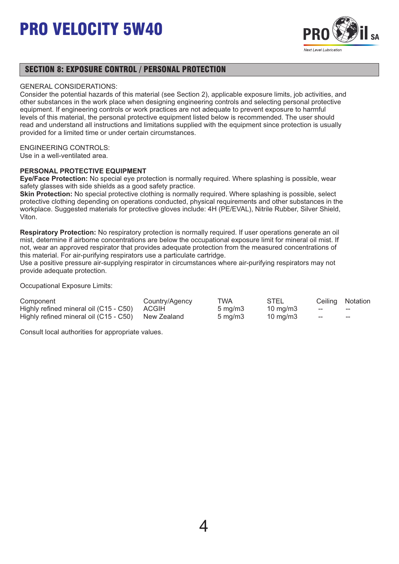

## SECTION 8: EXPOSURE CONTROL / PERSONAL PROTECTION

### GENERAL CONSIDERATIONS:

Consider the potential hazards of this material (see Section 2), applicable exposure limits, job activities, and other substances in the work place when designing engineering controls and selecting personal protective equipment. If engineering controls or work practices are not adequate to prevent exposure to harmful levels of this material, the personal protective equipment listed below is recommended. The user should read and understand all instructions and limitations supplied with the equipment since protection is usually provided for a limited time or under certain circumstances.

### ENGINEERING CONTROLS:

Use in a well-ventilated area.

## **PERSONAL PROTECTIVE EQUIPMENT**

**Eye/Face Protection:** No special eye protection is normally required. Where splashing is possible, wear safety glasses with side shields as a good safety practice.

**Skin Protection:** No special protective clothing is normally required. Where splashing is possible, select protective clothing depending on operations conducted, physical requirements and other substances in the workplace. Suggested materials for protective gloves include: 4H (PE/EVAL), Nitrile Rubber, Silver Shield, Viton.

**Respiratory Protection:** No respiratory protection is normally required. If user operations generate an oil mist, determine if airborne concentrations are below the occupational exposure limit for mineral oil mist. If not, wear an approved respirator that provides adequate protection from the measured concentrations of this material. For air-purifying respirators use a particulate cartridge.

Use a positive pressure air-supplying respirator in circumstances where air-purifying respirators may not provide adequate protection.

Occupational Exposure Limits:

| Component                                          | Country/Agency | TWA                 | STEL              |     | Ceiling Notation |
|----------------------------------------------------|----------------|---------------------|-------------------|-----|------------------|
| Highly refined mineral oil (C15 - C50) ACGIH       |                | $5 \,\mathrm{mq/m}$ | $10 \text{ mg/m}$ | $-$ | $- -$            |
| Highly refined mineral oil (C15 - C50) New Zealand |                | $5 \text{ ma/m}$ 3  | 10 mg/m3          | ——  | $- -$            |

Consult local authorities for appropriate values.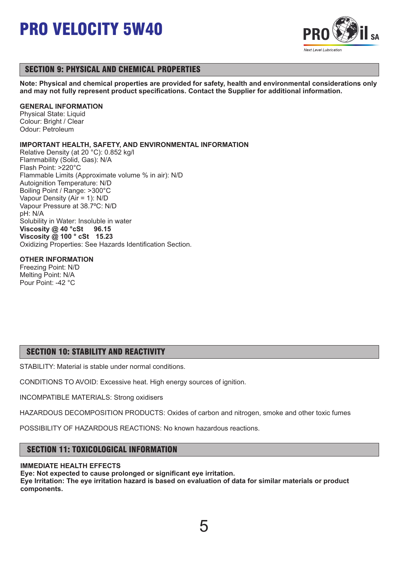

# SECTION 9: PHYSICAL AND CHEMICAL PROPERTIES

**Note: Physical and chemical properties are provided for safety, health and environmental considerations only and may not fully represent product specifications. Contact the Supplier for additional information.**

## **GENERAL INFORMATION**

Physical State: Liquid Colour: Bright / Clear Odour: Petroleum

## **IMPORTANT HEALTH, SAFETY, AND ENVIRONMENTAL INFORMATION**

Relative Density (at 20 °C): 0.852 kg/l Flammability (Solid, Gas): N/A Flash Point: >220°C Flammable Limits (Approximate volume % in air): N/D Autoignition Temperature: N/D Boiling Point / Range: >300°C Vapour Density (Air = 1): N/D Vapour Pressure at 38.7ºC: N/D pH: N/A Solubility in Water: Insoluble in water **Viscosity @ 40 °cSt 96.15 Viscosity @ 100 ° cSt 15.23** Oxidizing Properties: See Hazards Identification Section.

## **OTHER INFORMATION**

Freezing Point: N/D Melting Point: N/A Pour Point: -42 °C

# SECTION 10: STABILITY AND REACTIVITY

STABILITY: Material is stable under normal conditions.

CONDITIONS TO AVOID: Excessive heat. High energy sources of ignition.

INCOMPATIBLE MATERIALS: Strong oxidisers

HAZARDOUS DECOMPOSITION PRODUCTS: Oxides of carbon and nitrogen, smoke and other toxic fumes

POSSIBILITY OF HAZARDOUS REACTIONS: No known hazardous reactions.

# SECTION 11: TOXICOLOGICAL INFORMATION

### **IMMEDIATE HEALTH EFFECTS**

**Eye: Not expected to cause prolonged or significant eye irritation. Eye Irritation: The eye irritation hazard is based on evaluation of data for similar materials or product components.** 

5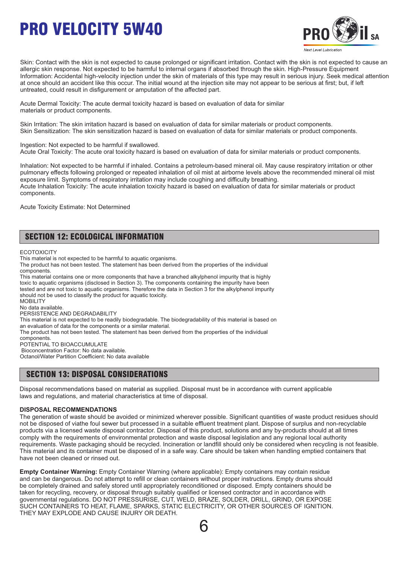

Skin: Contact with the skin is not expected to cause prolonged or significant irritation. Contact with the skin is not expected to cause an allergic skin response. Not expected to be harmful to internal organs if absorbed through the skin. High-Pressure Equipment Information: Accidental high-velocity injection under the skin of materials of this type may result in serious injury. Seek medical attention at once should an accident like this occur. The initial wound at the injection site may not appear to be serious at first; but, if left untreated, could result in disfigurement or amputation of the affected part.

Acute Dermal Toxicity: The acute dermal toxicity hazard is based on evaluation of data for similar materials or product components.

Skin Irritation: The skin irritation hazard is based on evaluation of data for similar materials or product components. Skin Sensitization: The skin sensitization hazard is based on evaluation of data for similar materials or product components.

Ingestion: Not expected to be harmful if swallowed. Acute Oral Toxicity: The acute oral toxicity hazard is based on evaluation of data for similar materials or product components.

Inhalation: Not expected to be harmful if inhaled. Contains a petroleum-based mineral oil. May cause respiratory irritation or other pulmonary effects following prolonged or repeated inhalation of oil mist at airborne levels above the recommended mineral oil mist exposure limit. Symptoms of respiratory irritation may include coughing and difficulty breathing. Acute Inhalation Toxicity: The acute inhalation toxicity hazard is based on evaluation of data for similar materials or product components.

Acute Toxicity Estimate: Not Determined

# SECTION 12: ECOLOGICAL INFORMATION

**ECOTOXICITY** 

This material is not expected to be harmful to aquatic organisms.

The product has not been tested. The statement has been derived from the properties of the individual components.

This material contains one or more components that have a branched alkylphenol impurity that is highly toxic to aquatic organisms (disclosed in Section 3). The components containing the impurity have been tested and are not toxic to aquatic organisms. Therefore the data in Section 3 for the alkylphenol impurity should not be used to classify the product for aquatic toxicity. **MOBILITY** No data available. PERSISTENCE AND DEGRADABILITY This material is not expected to be readily biodegradable. The biodegradability of this material is based on

an evaluation of data for the components or a similar material.

The product has not been tested. The statement has been derived from the properties of the individual

components.

POTENTIAL TO BIOACCUMULATE Bioconcentration Factor: No data available.

Octanol/Water Partition Coefficient: No data available

# SECTION 13: DISPOSAL CONSIDERATIONS

Disposal recommendations based on material as supplied. Disposal must be in accordance with current applicable laws and regulations, and material characteristics at time of disposal.

### **DISPOSAL RECOMMENDATIONS**

The generation of waste should be avoided or minimized wherever possible. Significant quantities of waste product residues should not be disposed of viathe foul sewer but processed in a suitable effluent treatment plant. Dispose of surplus and non-recyclable products via a licensed waste disposal contractor. Disposal of this product, solutions and any by-products should at all times comply with the requirements of environmental protection and waste disposal legislation and any regional local authority requirements. Waste packaging should be recycled. Incineration or landfill should only be considered when recycling is not feasible. This material and its container must be disposed of in a safe way. Care should be taken when handling emptied containers that have not been cleaned or rinsed out.

**Empty Container Warning:** Empty Container Warning (where applicable): Empty containers may contain residue and can be dangerous. Do not attempt to refill or clean containers without proper instructions. Empty drums should be completely drained and safely stored until appropriately reconditioned or disposed. Empty containers should be taken for recycling, recovery, or disposal through suitably qualified or licensed contractor and in accordance with governmental regulations. DO NOT PRESSURISE, CUT, WELD, BRAZE, SOLDER, DRILL, GRIND, OR EXPOSE SUCH CONTAINERS TO HEAT, FLAME, SPARKS, STATIC ELECTRICITY, OR OTHER SOURCES OF IGNITION. THEY MAY EXPLODE AND CAUSE INJURY OR DEATH.